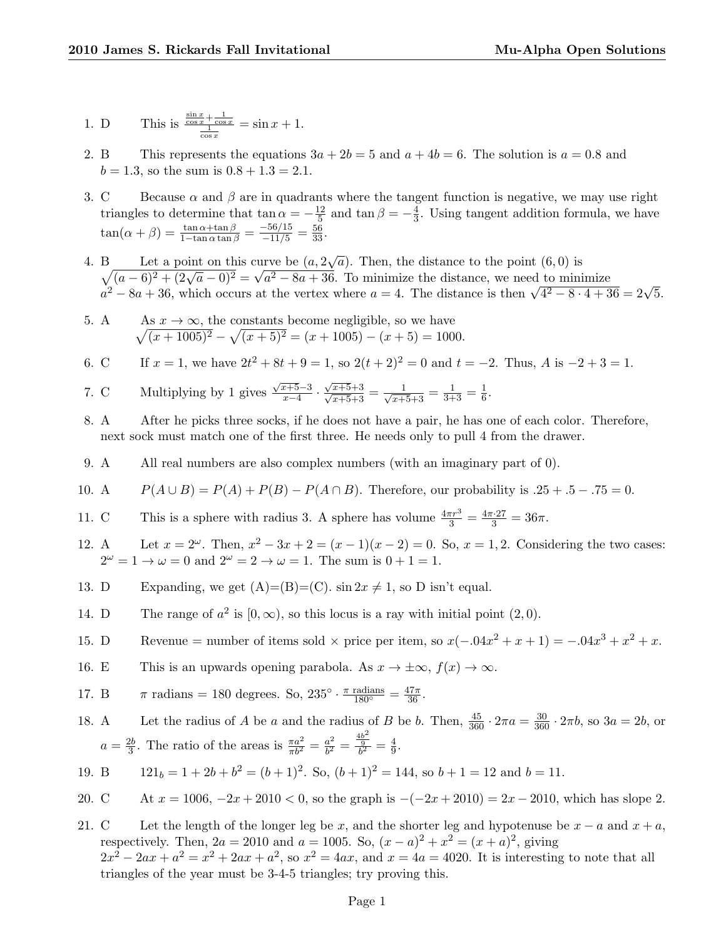1. D This is 
$$
\frac{\frac{\sin x}{\cos x} + \frac{1}{\cos x}}{\frac{1}{\cos x}} = \sin x + 1.
$$

- 2. B This represents the equations  $3a + 2b = 5$  and  $a + 4b = 6$ . The solution is  $a = 0.8$  and  $b = 1.3$ , so the sum is  $0.8 + 1.3 = 2.1$ .
- 3. C Because  $\alpha$  and  $\beta$  are in quadrants where the tangent function is negative, we may use right triangles to determine that tan  $\alpha = -\frac{12}{5}$  $\frac{12}{5}$  and  $\tan \beta = -\frac{4}{3}$  $\frac{4}{3}$ . Using tangent addition formula, we have  $\tan(\alpha + \beta) = \frac{\tan \alpha + \tan \beta}{1 - \tan \alpha \tan \beta} = \frac{-56/15}{-11/5} = \frac{56}{33}.$
- 4. B Let a point on this curve be  $(a, 2\sqrt{a})$ . Then, the distance to the point  $(6, 0)$  is  $\sqrt{(a-6)^2+(2\sqrt{a}-0)^2}=\sqrt{a^2-8a+36}$ . To minimize the distance, we need to minimize  $\sqrt{(a - b)^2 + (2\sqrt{a} - 0)^2} = \sqrt{a^2 - 8a + 36}$ . To minimize the distance, we need to minimize  $a^2 - 8a + 36$ , which occurs at the vertex where  $a = 4$ . The distance is then  $\sqrt{4^2 - 8 \cdot 4 + 36} = 2\sqrt{5}$ .
- $5. A$  $\sqrt{}$  $x \to \infty$ , the constants become negligible, so we have  $\overline{(x+1005)^2} - \sqrt{(x+5)^2} = (x+1005) - (x+5) = 1000.$
- 6. C If  $x = 1$ , we have  $2t^2 + 8t + 9 = 1$ , so  $2(t+2)^2 = 0$  and  $t = -2$ . Thus, A is  $-2 + 3 = 1$ .

7. C Multiplying by 1 gives 
$$
\frac{\sqrt{x+5}-3}{x-4} \cdot \frac{\sqrt{x+5}+3}{\sqrt{x+5}+3} = \frac{1}{\sqrt{x+5}+3} = \frac{1}{3+3} = \frac{1}{6}
$$
.

- 8. A After he picks three socks, if he does not have a pair, he has one of each color. Therefore, next sock must match one of the first three. He needs only to pull 4 from the drawer.
- 9. A All real numbers are also complex numbers (with an imaginary part of 0).
- 10. A  $P(A \cup B) = P(A) + P(B) P(A \cap B)$ . Therefore, our probability is  $.25 + .5 .75 = 0$ .
- 11. C This is a sphere with radius 3. A sphere has volume  $\frac{4\pi r^3}{3} = \frac{4\pi \cdot 27}{3} = 36\pi$ .
- 12. A Let  $x = 2^{\omega}$ . Then,  $x^2 3x + 2 = (x 1)(x 2) = 0$ . So,  $x = 1, 2$ . Considering the two cases:  $2^{\omega} = 1 \rightarrow \omega = 0$  and  $2^{\omega} = 2 \rightarrow \omega = 1$ . The sum is  $0 + 1 = 1$ .
- 13. D Expanding, we get  $(A)=(B)=(C)$ . sin  $2x \neq 1$ , so D isn't equal.
- 14. D The range of  $a^2$  is  $[0, \infty)$ , so this locus is a ray with initial point  $(2, 0)$ .
- 15. D Revenue = number of items sold  $\times$  price per item, so  $x(-.04x^2 + x + 1) = -.04x^3 + x^2 + x$ .
- 16. E This is an upwards opening parabola. As  $x \to \pm \infty$ ,  $f(x) \to \infty$ .

17. B 
$$
\pi
$$
 radians = 180 degrees. So,  $235^{\circ} \cdot \frac{\pi \text{ radians}}{180^{\circ}} = \frac{47\pi}{36}$ .

- 18. A Let the radius of A be a and the radius of B be b. Then,  $\frac{45}{360} \cdot 2\pi a = \frac{30}{360} \cdot 2\pi b$ , so  $3a = 2b$ , or  $a=\frac{2b}{3}$  $\frac{2b}{3}$ . The ratio of the areas is  $\frac{\pi a^2}{\pi b^2} = \frac{a^2}{b^2}$  $\frac{a^2}{b^2} = \frac{\frac{4b^2}{9}}{b^2}$  $\frac{\frac{15}{9}}{b^2} = \frac{4}{9}$  $\frac{4}{9}$ .
- 19. B  $121_b = 1 + 2b + b^2 = (b+1)^2$ . So,  $(b+1)^2 = 144$ , so  $b+1 = 12$  and  $b = 11$ .
- 20. C At  $x = 1006$ ,  $-2x + 2010 < 0$ , so the graph is  $-(-2x + 2010) = 2x 2010$ , which has slope 2.
- 21. C Let the length of the longer leg be x, and the shorter leg and hypotenuse be  $x a$  and  $x + a$ , respectively. Then,  $2a = 2010$  and  $a = 1005$ . So,  $(x - a)^2 + x^2 = (x + a)^2$ , giving  $2x^2 - 2ax + a^2 = x^2 + 2ax + a^2$ , so  $x^2 = 4ax$ , and  $x = 4a = 4020$ . It is interesting to note that all triangles of the year must be 3-4-5 triangles; try proving this.